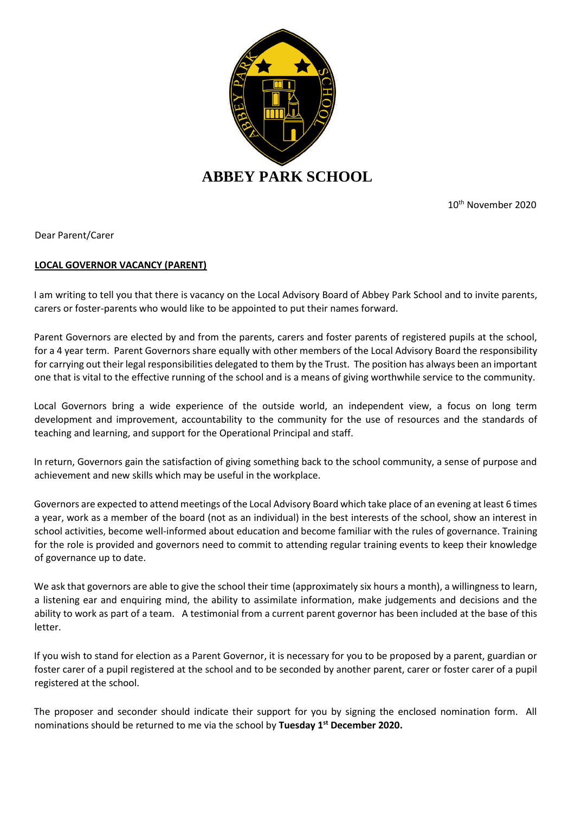

10th November 2020

Dear Parent/Carer

## **LOCAL GOVERNOR VACANCY (PARENT)**

I am writing to tell you that there is vacancy on the Local Advisory Board of Abbey Park School and to invite parents, carers or foster-parents who would like to be appointed to put their names forward.

Parent Governors are elected by and from the parents, carers and foster parents of registered pupils at the school, for a 4 year term. Parent Governors share equally with other members of the Local Advisory Board the responsibility for carrying out their legal responsibilities delegated to them by the Trust. The position has always been an important one that is vital to the effective running of the school and is a means of giving worthwhile service to the community.

Local Governors bring a wide experience of the outside world, an independent view, a focus on long term development and improvement, accountability to the community for the use of resources and the standards of teaching and learning, and support for the Operational Principal and staff.

In return, Governors gain the satisfaction of giving something back to the school community, a sense of purpose and achievement and new skills which may be useful in the workplace.

Governors are expected to attend meetings of the Local Advisory Board which take place of an evening at least 6 times a year, work as a member of the board (not as an individual) in the best interests of the school, show an interest in school activities, become well-informed about education and become familiar with the rules of governance. Training for the role is provided and governors need to commit to attending regular training events to keep their knowledge of governance up to date.

We ask that governors are able to give the school their time (approximately six hours a month), a willingness to learn, a listening ear and enquiring mind, the ability to assimilate information, make judgements and decisions and the ability to work as part of a team. A testimonial from a current parent governor has been included at the base of this letter.

If you wish to stand for election as a Parent Governor, it is necessary for you to be proposed by a parent, guardian or foster carer of a pupil registered at the school and to be seconded by another parent, carer or foster carer of a pupil registered at the school.

The proposer and seconder should indicate their support for you by signing the enclosed nomination form. All nominations should be returned to me via the school by **Tuesday 1st December 2020.**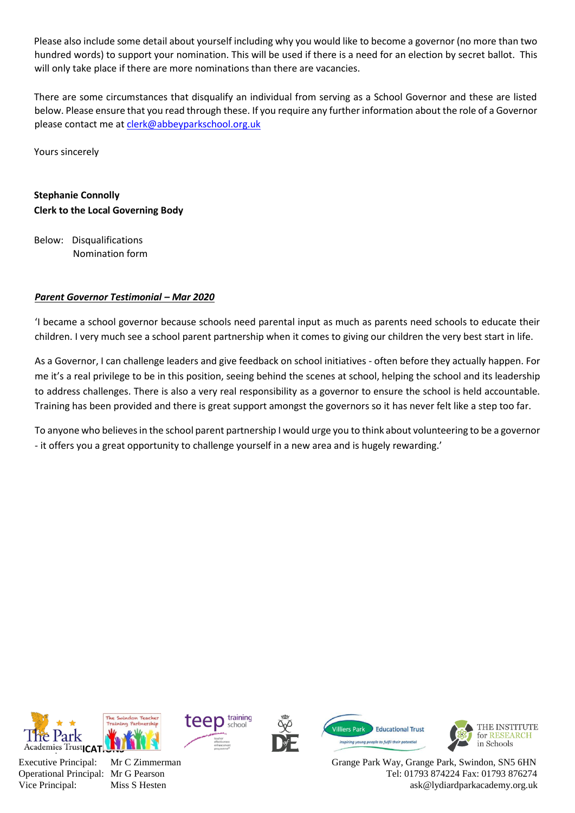Please also include some detail about yourself including why you would like to become a governor (no more than two hundred words) to support your nomination. This will be used if there is a need for an election by secret ballot. This will only take place if there are more nominations than there are vacancies.

There are some circumstances that disqualify an individual from serving as a School Governor and these are listed below. Please ensure that you read through these. If you require any further information about the role of a Governor please contact me at [clerk@abbeyparkschool.org.uk](mailto:clerk@abbeyparkschool.org.uk)

Yours sincerely

## **Stephanie Connolly Clerk to the Local Governing Body**

Below: Disqualifications Nomination form

## *Parent Governor Testimonial – Mar 2020*

'I became a school governor because schools need parental input as much as parents need schools to educate their children. I very much see a school parent partnership when it comes to giving our children the very best start in life.

As a Governor, I can challenge leaders and give feedback on school initiatives - often before they actually happen. For me it's a real privilege to be in this position, seeing behind the scenes at school, helping the school and its leadership to address challenges. There is also a very real responsibility as a governor to ensure the school is held accountable. Training has been provided and there is great support amongst the governors so it has never felt like a step too far.

To anyone who believes in the school parent partnership I would urge you to think about volunteering to be a governor - it offers you a great opportunity to challenge yourself in a new area and is hugely rewarding.'











Grange Park Way, Grange Park, Swindon, SN5 6HN Tel: 01793 874224 Fax: 01793 876274 ask@lydiardparkacademy.org.uk

Executive Principal: Operational Principal: Mr G Pearson Vice Principal:

Mr C Zimmerman Miss S Hesten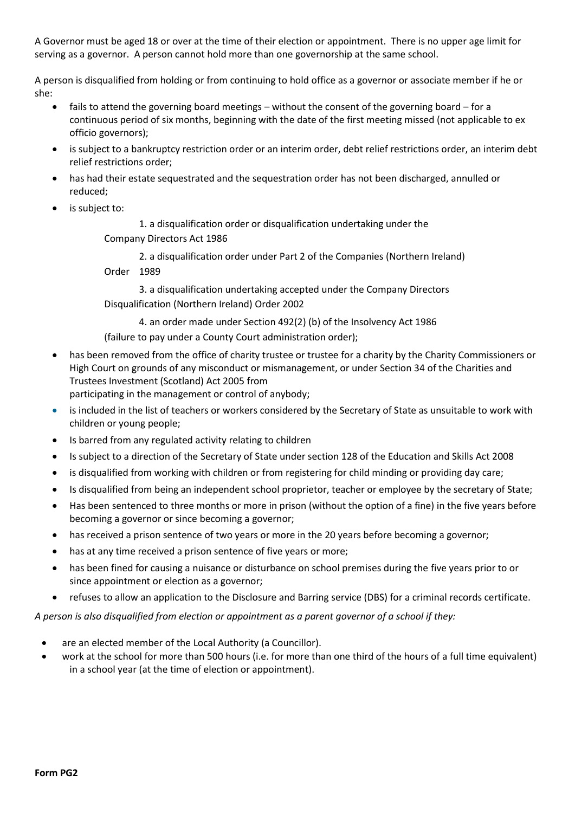A Governor must be aged 18 or over at the time of their election or appointment. There is no upper age limit for serving as a governor. A person cannot hold more than one governorship at the same school.

A person is disqualified from holding or from continuing to hold office as a governor or associate member if he or she:

- fails to attend the governing board meetings without the consent of the governing board for a continuous period of six months, beginning with the date of the first meeting missed (not applicable to ex officio governors);
- is subject to a bankruptcy restriction order or an interim order, debt relief restrictions order, an interim debt relief restrictions order;
- has had their estate sequestrated and the sequestration order has not been discharged, annulled or reduced;
- is subject to:

1. a disqualification order or disqualification undertaking under the

Company Directors Act 1986

2. a disqualification order under Part 2 of the Companies (Northern Ireland)

Order 1989

3. a disqualification undertaking accepted under the Company Directors Disqualification (Northern Ireland) Order 2002

4. an order made under Section 492(2) (b) of the Insolvency Act 1986 (failure to pay under a County Court administration order);

• has been removed from the office of charity trustee or trustee for a charity by the Charity Commissioners or High Court on grounds of any misconduct or mismanagement, or under Section 34 of the Charities and Trustees Investment (Scotland) Act 2005 from

participating in the management or control of anybody;

- is included in the list of teachers or workers considered by the Secretary of State as unsuitable to work with children or young people;
- Is barred from any regulated activity relating to children
- Is subject to a direction of the Secretary of State under section 128 of the Education and Skills Act 2008
- is disqualified from working with children or from registering for child minding or providing day care;
- Is disqualified from being an independent school proprietor, teacher or employee by the secretary of State;
- Has been sentenced to three months or more in prison (without the option of a fine) in the five years before becoming a governor or since becoming a governor;
- has received a prison sentence of two years or more in the 20 years before becoming a governor;
- has at any time received a prison sentence of five years or more;
- has been fined for causing a nuisance or disturbance on school premises during the five years prior to or since appointment or election as a governor;
- refuses to allow an application to the Disclosure and Barring service (DBS) for a criminal records certificate.

*A person is also disqualified from election or appointment as a parent governor of a school if they:*

- are an elected member of the Local Authority (a Councillor).
- work at the school for more than 500 hours (i.e. for more than one third of the hours of a full time equivalent) in a school year (at the time of election or appointment).